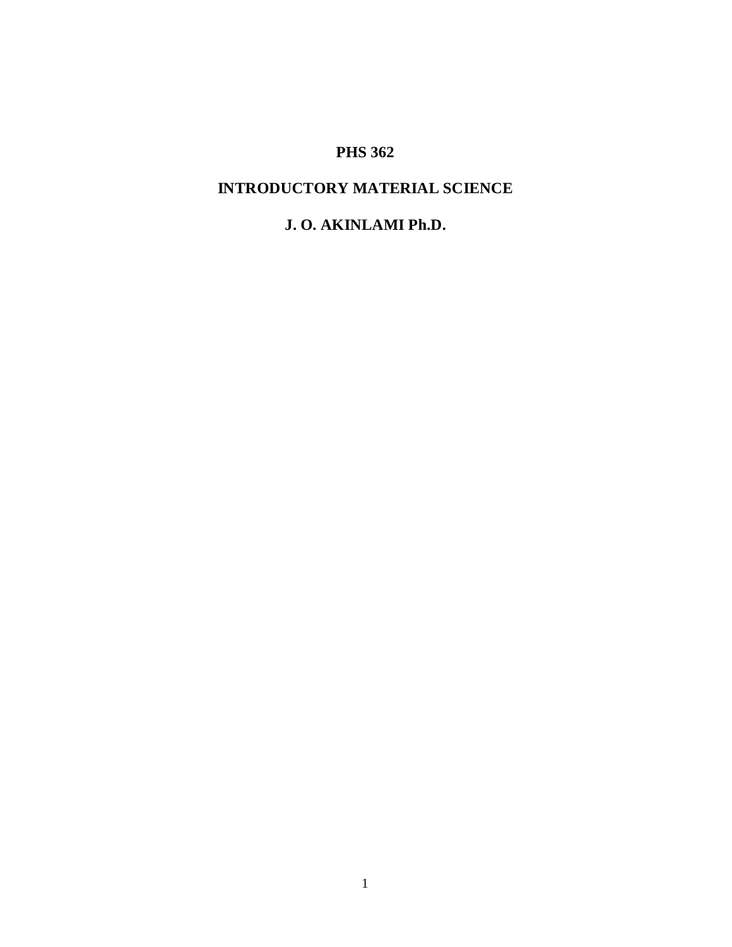# **PHS 362**

# **INTRODUCTORY MATERIAL SCIENCE**

# **J. O. AKINLAMI Ph.D.**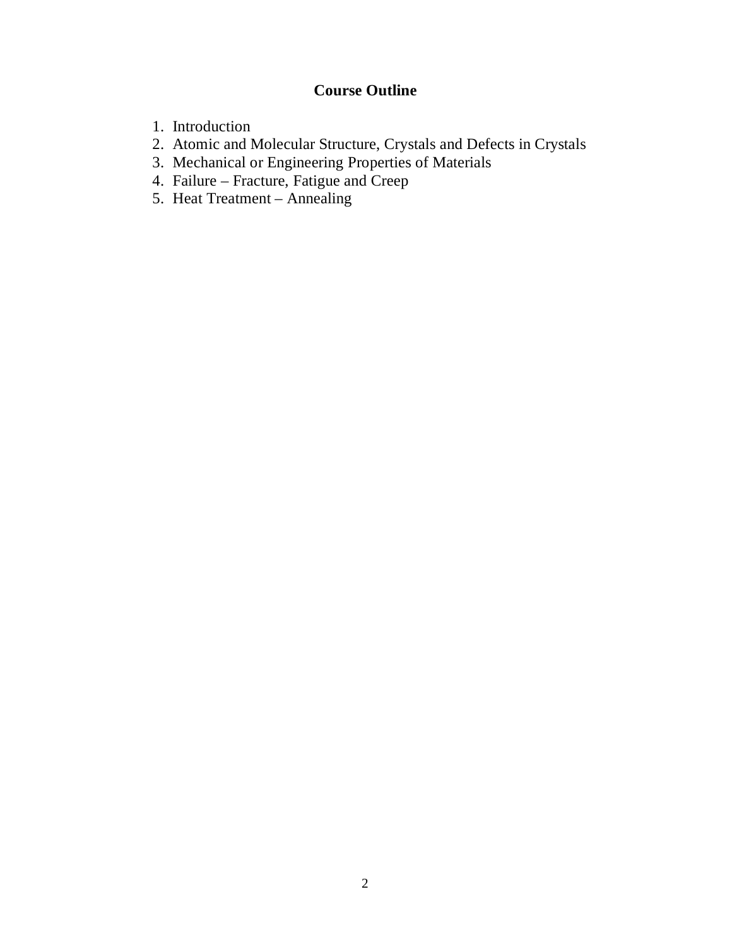# **Course Outline**

- 1. Introduction
- 2. Atomic and Molecular Structure, Crystals and Defects in Crystals
- 3. Mechanical or Engineering Properties of Materials
- 4. Failure Fracture, Fatigue and Creep
- 5. Heat Treatment Annealing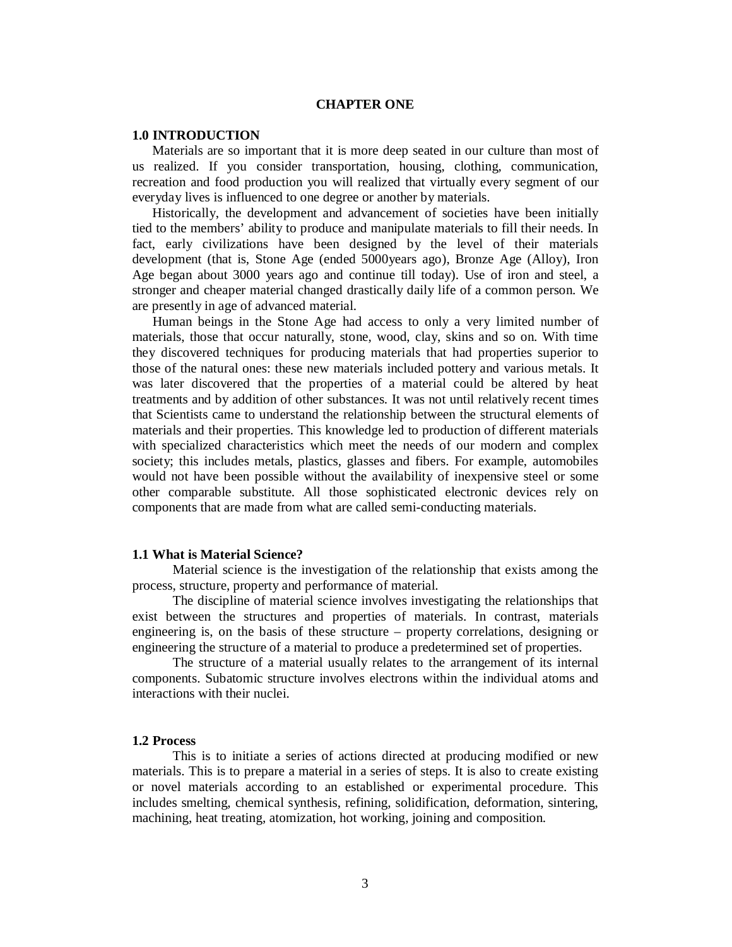# **CHAPTER ONE**

#### **1.0 INTRODUCTION**

Materials are so important that it is more deep seated in our culture than most of us realized. If you consider transportation, housing, clothing, communication, recreation and food production you will realized that virtually every segment of our everyday lives is influenced to one degree or another by materials.

Historically, the development and advancement of societies have been initially tied to the members' ability to produce and manipulate materials to fill their needs. In fact, early civilizations have been designed by the level of their materials development (that is, Stone Age (ended 5000years ago), Bronze Age (Alloy), Iron Age began about 3000 years ago and continue till today). Use of iron and steel, a stronger and cheaper material changed drastically daily life of a common person. We are presently in age of advanced material.

 Human beings in the Stone Age had access to only a very limited number of materials, those that occur naturally, stone, wood, clay, skins and so on. With time they discovered techniques for producing materials that had properties superior to those of the natural ones: these new materials included pottery and various metals. It was later discovered that the properties of a material could be altered by heat treatments and by addition of other substances. It was not until relatively recent times that Scientists came to understand the relationship between the structural elements of materials and their properties. This knowledge led to production of different materials with specialized characteristics which meet the needs of our modern and complex society; this includes metals, plastics, glasses and fibers. For example, automobiles would not have been possible without the availability of inexpensive steel or some other comparable substitute. All those sophisticated electronic devices rely on components that are made from what are called semi-conducting materials.

#### **1.1 What is Material Science?**

Material science is the investigation of the relationship that exists among the process, structure, property and performance of material.

The discipline of material science involves investigating the relationships that exist between the structures and properties of materials. In contrast, materials engineering is, on the basis of these structure – property correlations, designing or engineering the structure of a material to produce a predetermined set of properties.

The structure of a material usually relates to the arrangement of its internal components. Subatomic structure involves electrons within the individual atoms and interactions with their nuclei.

#### **1.2 Process**

This is to initiate a series of actions directed at producing modified or new materials. This is to prepare a material in a series of steps. It is also to create existing or novel materials according to an established or experimental procedure. This includes smelting, chemical synthesis, refining, solidification, deformation, sintering, machining, heat treating, atomization, hot working, joining and composition.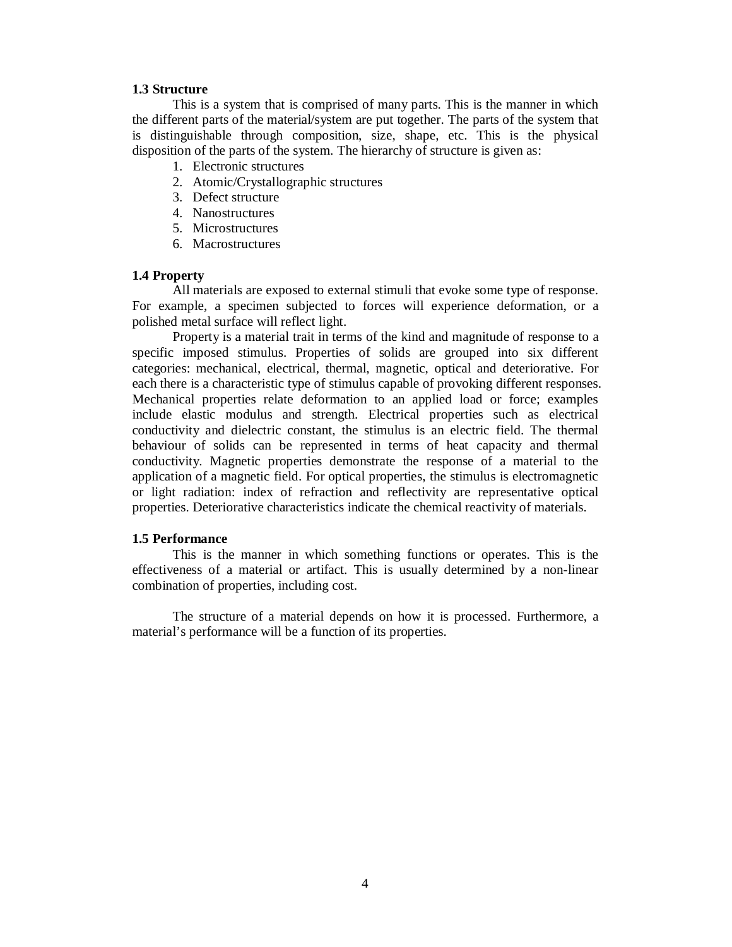# **1.3 Structure**

This is a system that is comprised of many parts. This is the manner in which the different parts of the material/system are put together. The parts of the system that is distinguishable through composition, size, shape, etc. This is the physical disposition of the parts of the system. The hierarchy of structure is given as:

- 1. Electronic structures
- 2. Atomic/Crystallographic structures
- 3. Defect structure
- 4. Nanostructures
- 5. Microstructures
- 6. Macrostructures

# **1.4 Property**

All materials are exposed to external stimuli that evoke some type of response. For example, a specimen subjected to forces will experience deformation, or a polished metal surface will reflect light.

Property is a material trait in terms of the kind and magnitude of response to a specific imposed stimulus. Properties of solids are grouped into six different categories: mechanical, electrical, thermal, magnetic, optical and deteriorative. For each there is a characteristic type of stimulus capable of provoking different responses. Mechanical properties relate deformation to an applied load or force; examples include elastic modulus and strength. Electrical properties such as electrical conductivity and dielectric constant, the stimulus is an electric field. The thermal behaviour of solids can be represented in terms of heat capacity and thermal conductivity. Magnetic properties demonstrate the response of a material to the application of a magnetic field. For optical properties, the stimulus is electromagnetic or light radiation: index of refraction and reflectivity are representative optical properties. Deteriorative characteristics indicate the chemical reactivity of materials.

# **1.5 Performance**

This is the manner in which something functions or operates. This is the effectiveness of a material or artifact. This is usually determined by a non-linear combination of properties, including cost.

The structure of a material depends on how it is processed. Furthermore, a material's performance will be a function of its properties.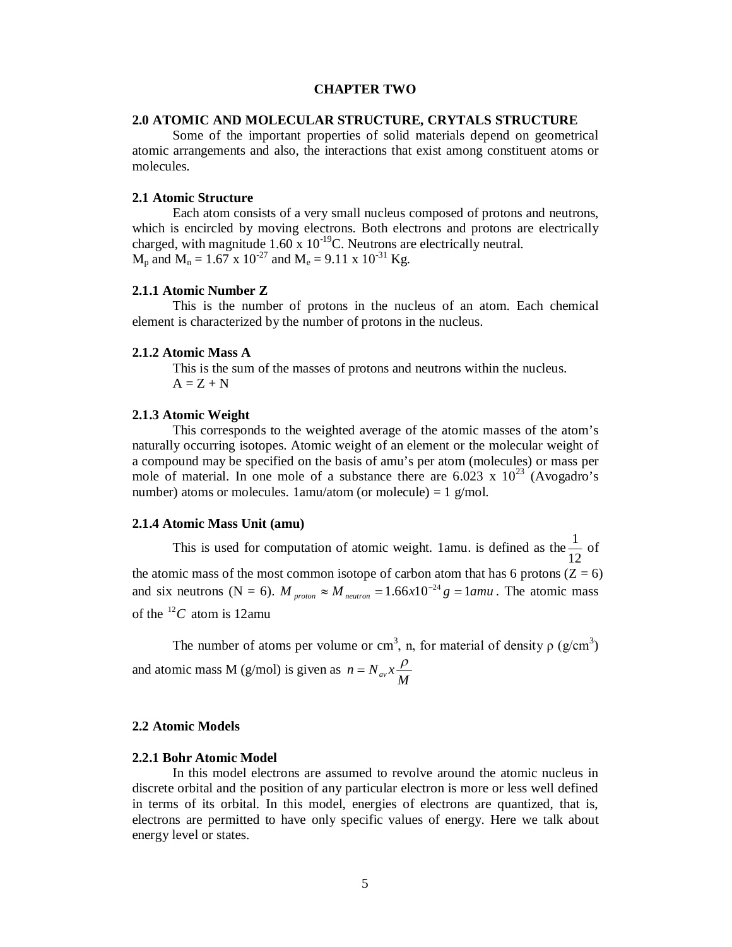# **CHAPTER TWO**

# **2.0 ATOMIC AND MOLECULAR STRUCTURE, CRYTALS STRUCTURE**

Some of the important properties of solid materials depend on geometrical atomic arrangements and also, the interactions that exist among constituent atoms or molecules.

# **2.1 Atomic Structure**

Each atom consists of a very small nucleus composed of protons and neutrons, which is encircled by moving electrons. Both electrons and protons are electrically charged, with magnitude 1.60 x  $10^{-19}$ C. Neutrons are electrically neutral.  $M_p$  and  $M_n = 1.67 \times 10^{-27}$  and  $M_e = 9.11 \times 10^{-31}$  Kg.

#### **2.1.1 Atomic Number Z**

This is the number of protons in the nucleus of an atom. Each chemical element is characterized by the number of protons in the nucleus.

# **2.1.2 Atomic Mass A**

This is the sum of the masses of protons and neutrons within the nucleus.  $A = Z + N$ 

# **2.1.3 Atomic Weight**

This corresponds to the weighted average of the atomic masses of the atom's naturally occurring isotopes. Atomic weight of an element or the molecular weight of a compound may be specified on the basis of amu's per atom (molecules) or mass per mole of material. In one mole of a substance there are  $6.023 \times 10^{23}$  (Avogadro's number) atoms or molecules.  $1$ amu/atom (or molecule) =  $1$  g/mol.

#### **2.1.4 Atomic Mass Unit (amu)**

This is used for computation of atomic weight. 1amu. is defined as the 12  $\frac{1}{\epsilon}$  of the atomic mass of the most common isotope of carbon atom that has 6 protons  $(Z = 6)$ and six neutrons (N = 6).  $M_{proton} \approx M_{neutron} = 1.66 \times 10^{-24} g = 1$  and. The atomic mass of the  $^{12}C$  atom is 12amu

The number of atoms per volume or cm<sup>3</sup>, n, for material of density  $\rho$  (g/cm<sup>3</sup>) and atomic mass M (g/mol) is given as  $n = N_{av} x \frac{\rho}{M}$ 

## **2.2 Atomic Models**

#### **2.2.1 Bohr Atomic Model**

In this model electrons are assumed to revolve around the atomic nucleus in discrete orbital and the position of any particular electron is more or less well defined in terms of its orbital. In this model, energies of electrons are quantized, that is, electrons are permitted to have only specific values of energy. Here we talk about energy level or states.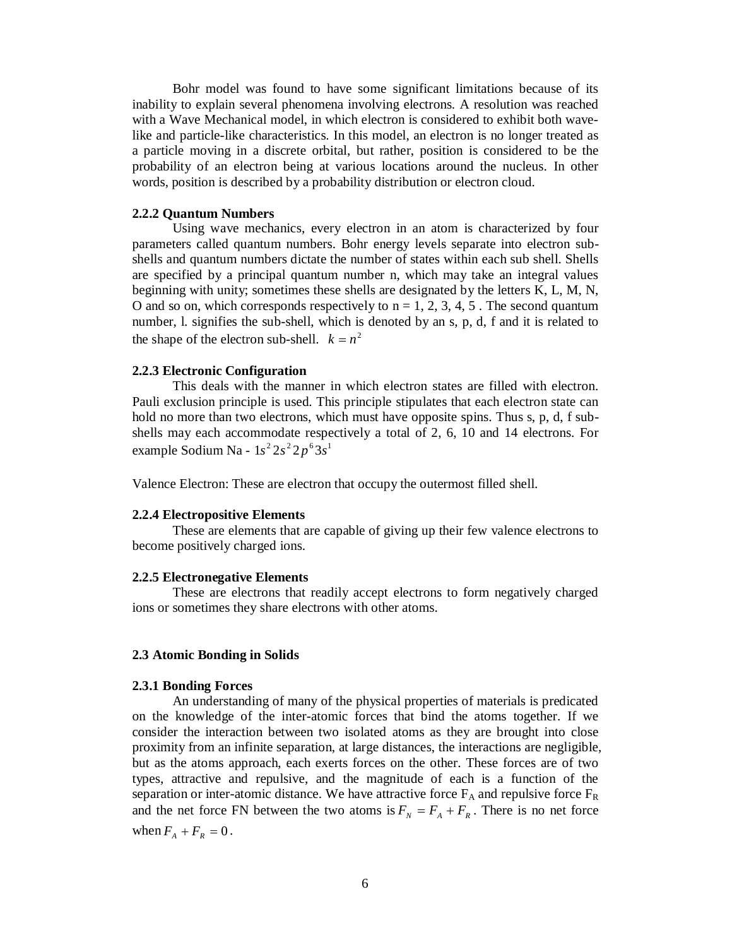Bohr model was found to have some significant limitations because of its inability to explain several phenomena involving electrons. A resolution was reached with a Wave Mechanical model, in which electron is considered to exhibit both wavelike and particle-like characteristics. In this model, an electron is no longer treated as a particle moving in a discrete orbital, but rather, position is considered to be the probability of an electron being at various locations around the nucleus. In other words, position is described by a probability distribution or electron cloud.

# **2.2.2 Quantum Numbers**

Using wave mechanics, every electron in an atom is characterized by four parameters called quantum numbers. Bohr energy levels separate into electron subshells and quantum numbers dictate the number of states within each sub shell. Shells are specified by a principal quantum number n, which may take an integral values beginning with unity; sometimes these shells are designated by the letters K, L, M, N, O and so on, which corresponds respectively to  $n = 1, 2, 3, 4, 5$ . The second quantum number, l. signifies the sub-shell, which is denoted by an s, p, d, f and it is related to the shape of the electron sub-shell.  $k = n^2$ 

## **2.2.3 Electronic Configuration**

This deals with the manner in which electron states are filled with electron. Pauli exclusion principle is used. This principle stipulates that each electron state can hold no more than two electrons, which must have opposite spins. Thus s, p, d, f subshells may each accommodate respectively a total of 2, 6, 10 and 14 electrons. For example Sodium Na -  $1s^2 2s^2 2p^6 3s^1$ 

Valence Electron: These are electron that occupy the outermost filled shell.

### **2.2.4 Electropositive Elements**

These are elements that are capable of giving up their few valence electrons to become positively charged ions.

#### **2.2.5 Electronegative Elements**

These are electrons that readily accept electrons to form negatively charged ions or sometimes they share electrons with other atoms.

# **2.3 Atomic Bonding in Solids**

# **2.3.1 Bonding Forces**

An understanding of many of the physical properties of materials is predicated on the knowledge of the inter-atomic forces that bind the atoms together. If we consider the interaction between two isolated atoms as they are brought into close proximity from an infinite separation, at large distances, the interactions are negligible, but as the atoms approach, each exerts forces on the other. These forces are of two types, attractive and repulsive, and the magnitude of each is a function of the separation or inter-atomic distance. We have attractive force  $F_A$  and repulsive force  $F_R$ and the net force FN between the two atoms is  $F_N = F_A + F_R$ . There is no net force when  $F_A + F_R = 0$ .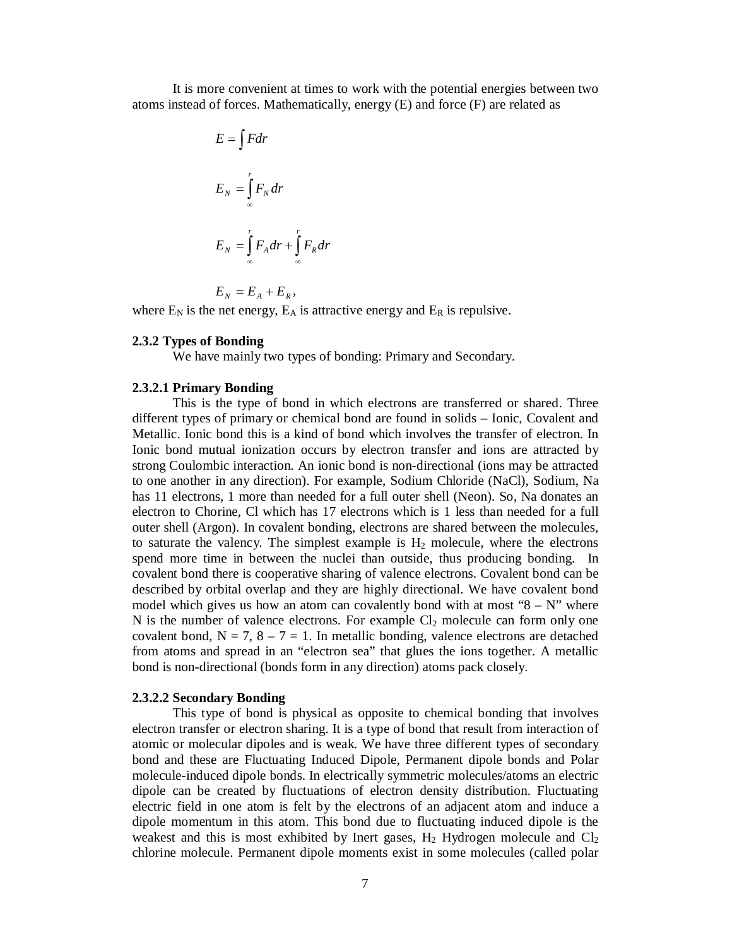It is more convenient at times to work with the potential energies between two atoms instead of forces. Mathematically, energy (E) and force (F) are related as

$$
E = \int F dr
$$
  
\n
$$
E_N = \int_{-\infty}^{r} F_N dr
$$
  
\n
$$
E_N = \int_{-\infty}^{r} F_A dr + \int_{-\infty}^{r} F_R dr
$$

 $E_N = E_A + E_R,$ 

where  $E_N$  is the net energy,  $E_A$  is attractive energy and  $E_R$  is repulsive.

# **2.3.2 Types of Bonding**

We have mainly two types of bonding: Primary and Secondary.

## **2.3.2.1 Primary Bonding**

This is the type of bond in which electrons are transferred or shared. Three different types of primary or chemical bond are found in solids – Ionic, Covalent and Metallic. Ionic bond this is a kind of bond which involves the transfer of electron. In Ionic bond mutual ionization occurs by electron transfer and ions are attracted by strong Coulombic interaction. An ionic bond is non-directional (ions may be attracted to one another in any direction). For example, Sodium Chloride (NaCl), Sodium, Na has 11 electrons, 1 more than needed for a full outer shell (Neon). So, Na donates an electron to Chorine, Cl which has 17 electrons which is 1 less than needed for a full outer shell (Argon). In covalent bonding, electrons are shared between the molecules, to saturate the valency. The simplest example is  $H_2$  molecule, where the electrons spend more time in between the nuclei than outside, thus producing bonding. In covalent bond there is cooperative sharing of valence electrons. Covalent bond can be described by orbital overlap and they are highly directional. We have covalent bond model which gives us how an atom can covalently bond with at most " $8 - N$ " where N is the number of valence electrons. For example  $Cl_2$  molecule can form only one covalent bond,  $N = 7$ ,  $8 - 7 = 1$ . In metallic bonding, valence electrons are detached from atoms and spread in an "electron sea" that glues the ions together. A metallic bond is non-directional (bonds form in any direction) atoms pack closely.

## **2.3.2.2 Secondary Bonding**

This type of bond is physical as opposite to chemical bonding that involves electron transfer or electron sharing. It is a type of bond that result from interaction of atomic or molecular dipoles and is weak. We have three different types of secondary bond and these are Fluctuating Induced Dipole, Permanent dipole bonds and Polar molecule-induced dipole bonds. In electrically symmetric molecules/atoms an electric dipole can be created by fluctuations of electron density distribution. Fluctuating electric field in one atom is felt by the electrons of an adjacent atom and induce a dipole momentum in this atom. This bond due to fluctuating induced dipole is the weakest and this is most exhibited by Inert gases,  $H_2$  Hydrogen molecule and  $Cl_2$ chlorine molecule. Permanent dipole moments exist in some molecules (called polar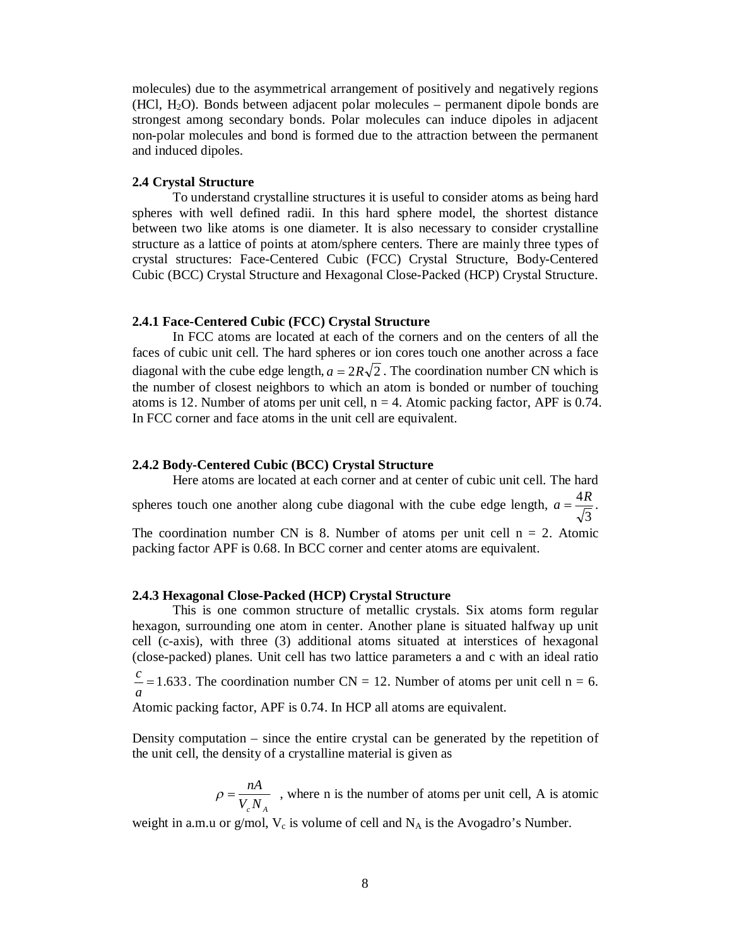molecules) due to the asymmetrical arrangement of positively and negatively regions  $(HCl, H<sub>2</sub>O)$ . Bonds between adjacent polar molecules – permanent dipole bonds are strongest among secondary bonds. Polar molecules can induce dipoles in adjacent non-polar molecules and bond is formed due to the attraction between the permanent and induced dipoles.

#### **2.4 Crystal Structure**

To understand crystalline structures it is useful to consider atoms as being hard spheres with well defined radii. In this hard sphere model, the shortest distance between two like atoms is one diameter. It is also necessary to consider crystalline structure as a lattice of points at atom/sphere centers. There are mainly three types of crystal structures: Face-Centered Cubic (FCC) Crystal Structure, Body-Centered Cubic (BCC) Crystal Structure and Hexagonal Close-Packed (HCP) Crystal Structure.

# **2.4.1 Face-Centered Cubic (FCC) Crystal Structure**

In FCC atoms are located at each of the corners and on the centers of all the faces of cubic unit cell. The hard spheres or ion cores touch one another across a face diagonal with the cube edge length,  $a = 2R\sqrt{2}$ . The coordination number CN which is the number of closest neighbors to which an atom is bonded or number of touching atoms is 12. Number of atoms per unit cell,  $n = 4$ . Atomic packing factor, APF is 0.74. In FCC corner and face atoms in the unit cell are equivalent.

# **2.4.2 Body-Centered Cubic (BCC) Crystal Structure**

Here atoms are located at each corner and at center of cubic unit cell. The hard spheres touch one another along cube diagonal with the cube edge length, 3  $a = \frac{4R}{\sqrt{2}}$ . The coordination number CN is 8. Number of atoms per unit cell  $n = 2$ . Atomic packing factor APF is 0.68. In BCC corner and center atoms are equivalent.

# **2.4.3 Hexagonal Close-Packed (HCP) Crystal Structure**

This is one common structure of metallic crystals. Six atoms form regular hexagon, surrounding one atom in center. Another plane is situated halfway up unit cell (c-axis), with three (3) additional atoms situated at interstices of hexagonal (close-packed) planes. Unit cell has two lattice parameters a and c with an ideal ratio

 $=1.633$ *a*  $\frac{c}{c}$  = 1.633. The coordination number CN = 12. Number of atoms per unit cell n = 6.

Atomic packing factor, APF is 0.74. In HCP all atoms are equivalent.

Density computation – since the entire crystal can be generated by the repetition of the unit cell, the density of a crystalline material is given as

> $V_c N_A$  $\rho = \frac{nA}{nR}$ , where n is the number of atoms per unit cell, A is atomic

weight in a.m.u or g/mol,  $V_c$  is volume of cell and  $N_A$  is the Avogadro's Number.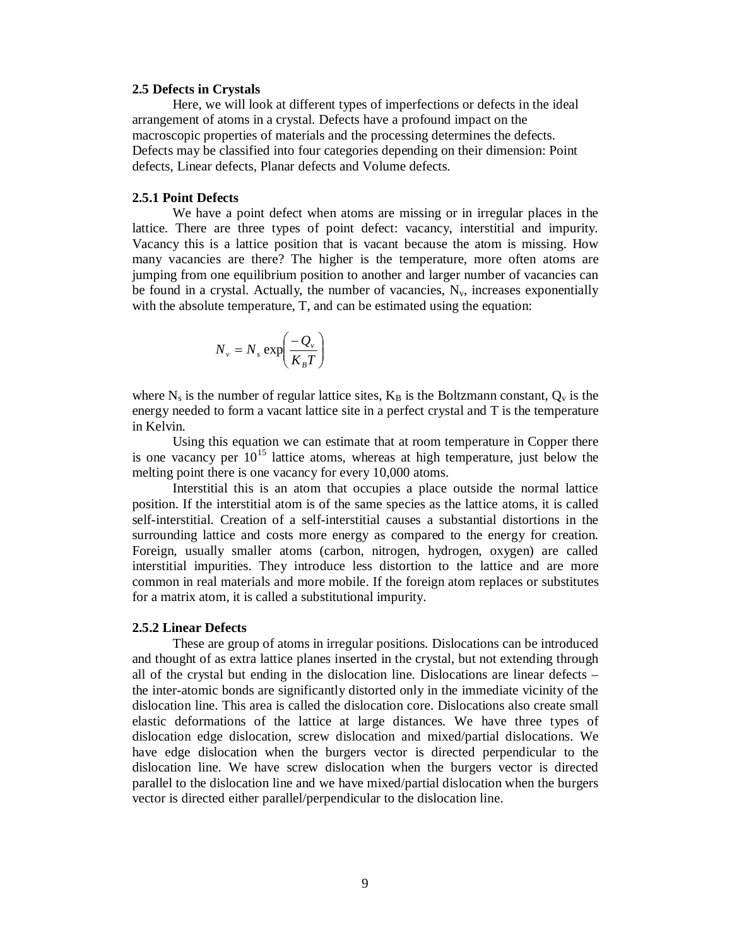## **2.5 Defects in Crystals**

Here, we will look at different types of imperfections or defects in the ideal arrangement of atoms in a crystal. Defects have a profound impact on the macroscopic properties of materials and the processing determines the defects. Defects may be classified into four categories depending on their dimension: Point defects, Linear defects, Planar defects and Volume defects.

# **2.5.1 Point Defects**

We have a point defect when atoms are missing or in irregular places in the lattice. There are three types of point defect: vacancy, interstitial and impurity. Vacancy this is a lattice position that is vacant because the atom is missing. How many vacancies are there? The higher is the temperature, more often atoms are jumping from one equilibrium position to another and larger number of vacancies can be found in a crystal. Actually, the number of vacancies,  $N_v$ , increases exponentially with the absolute temperature, T, and can be estimated using the equation:

$$
N_{v} = N_{s} \exp\left(\frac{-Q_{v}}{K_{B}T}\right)
$$

where  $N_s$  is the number of regular lattice sites,  $K_B$  is the Boltzmann constant,  $Q_v$  is the energy needed to form a vacant lattice site in a perfect crystal and T is the temperature in Kelvin.

Using this equation we can estimate that at room temperature in Copper there is one vacancy per  $10^{15}$  lattice atoms, whereas at high temperature, just below the melting point there is one vacancy for every 10,000 atoms.

Interstitial this is an atom that occupies a place outside the normal lattice position. If the interstitial atom is of the same species as the lattice atoms, it is called self-interstitial. Creation of a self-interstitial causes a substantial distortions in the surrounding lattice and costs more energy as compared to the energy for creation. Foreign, usually smaller atoms (carbon, nitrogen, hydrogen, oxygen) are called interstitial impurities. They introduce less distortion to the lattice and are more common in real materials and more mobile. If the foreign atom replaces or substitutes for a matrix atom, it is called a substitutional impurity.

#### **2.5.2 Linear Defects**

These are group of atoms in irregular positions. Dislocations can be introduced and thought of as extra lattice planes inserted in the crystal, but not extending through all of the crystal but ending in the dislocation line. Dislocations are linear defects – the inter-atomic bonds are significantly distorted only in the immediate vicinity of the dislocation line. This area is called the dislocation core. Dislocations also create small elastic deformations of the lattice at large distances. We have three types of dislocation edge dislocation, screw dislocation and mixed/partial dislocations. We have edge dislocation when the burgers vector is directed perpendicular to the dislocation line. We have screw dislocation when the burgers vector is directed parallel to the dislocation line and we have mixed/partial dislocation when the burgers vector is directed either parallel/perpendicular to the dislocation line.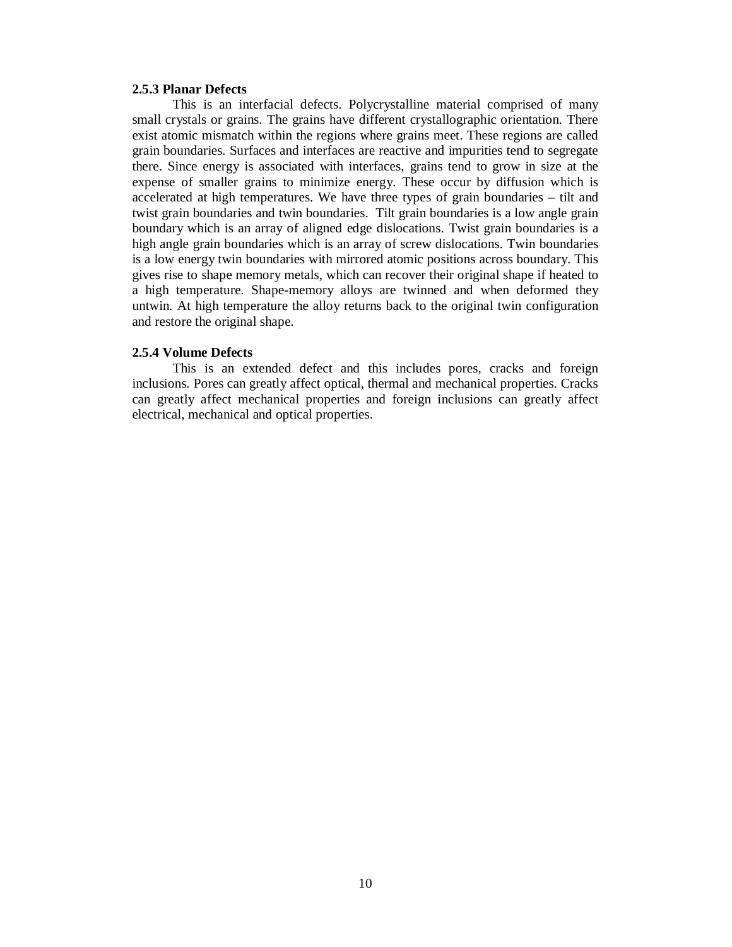## **2.5.3 Planar Defects**

This is an interfacial defects. Polycrystalline material comprised of many small crystals or grains. The grains have different crystallographic orientation. There exist atomic mismatch within the regions where grains meet. These regions are called grain boundaries. Surfaces and interfaces are reactive and impurities tend to segregate there. Since energy is associated with interfaces, grains tend to grow in size at the expense of smaller grains to minimize energy. These occur by diffusion which is accelerated at high temperatures. We have three types of grain boundaries – tilt and twist grain boundaries and twin boundaries. Tilt grain boundaries is a low angle grain boundary which is an array of aligned edge dislocations. Twist grain boundaries is a high angle grain boundaries which is an array of screw dislocations. Twin boundaries is a low energy twin boundaries with mirrored atomic positions across boundary. This gives rise to shape memory metals, which can recover their original shape if heated to a high temperature. Shape-memory alloys are twinned and when deformed they untwin. At high temperature the alloy returns back to the original twin configuration and restore the original shape.

# **2.5.4 Volume Defects**

This is an extended defect and this includes pores, cracks and foreign inclusions. Pores can greatly affect optical, thermal and mechanical properties. Cracks can greatly affect mechanical properties and foreign inclusions can greatly affect electrical, mechanical and optical properties.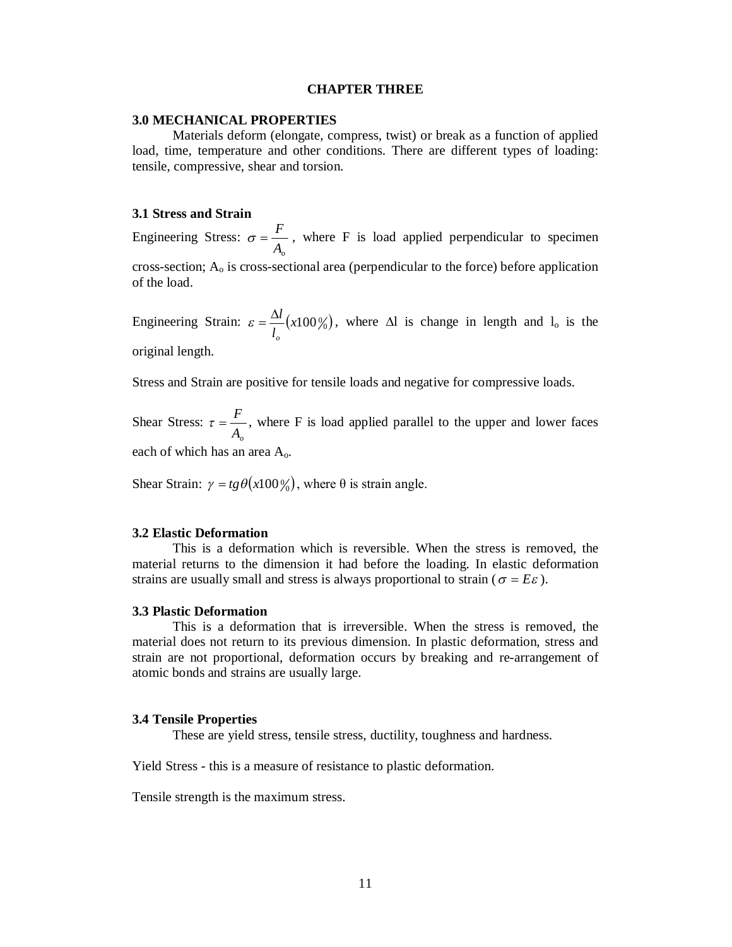# **CHAPTER THREE**

### **3.0 MECHANICAL PROPERTIES**

Materials deform (elongate, compress, twist) or break as a function of applied load, time, temperature and other conditions. There are different types of loading: tensile, compressive, shear and torsion.

# **3.1 Stress and Strain**

Engineering Stress: *Ao*  $\sigma = \frac{F}{I}$ , where F is load applied perpendicular to specimen cross-section;  $A_0$  is cross-sectional area (perpendicular to the force) before application of the load.

Engineering Strain:  $\varepsilon = \frac{\Delta u}{l}(x 100\%)$ *l l o*  $\varepsilon = \frac{\Delta l}{I} (x 100\%)$ , where  $\Delta l$  is change in length and  $l_0$  is the original length.

Stress and Strain are positive for tensile loads and negative for compressive loads.

Shear Stress: *Ao*  $\tau = \frac{F}{\sqrt{2}}$ , where F is load applied parallel to the upper and lower faces each of which has an area Ao.

Shear Strain:  $\gamma = tg \theta(x100\%)$ , where  $\theta$  is strain angle.

#### **3.2 Elastic Deformation**

This is a deformation which is reversible. When the stress is removed, the material returns to the dimension it had before the loading. In elastic deformation strains are usually small and stress is always proportional to strain ( $\sigma = E \varepsilon$ ).

# **3.3 Plastic Deformation**

This is a deformation that is irreversible. When the stress is removed, the material does not return to its previous dimension. In plastic deformation, stress and strain are not proportional, deformation occurs by breaking and re-arrangement of atomic bonds and strains are usually large.

#### **3.4 Tensile Properties**

These are yield stress, tensile stress, ductility, toughness and hardness.

Yield Stress - this is a measure of resistance to plastic deformation.

Tensile strength is the maximum stress.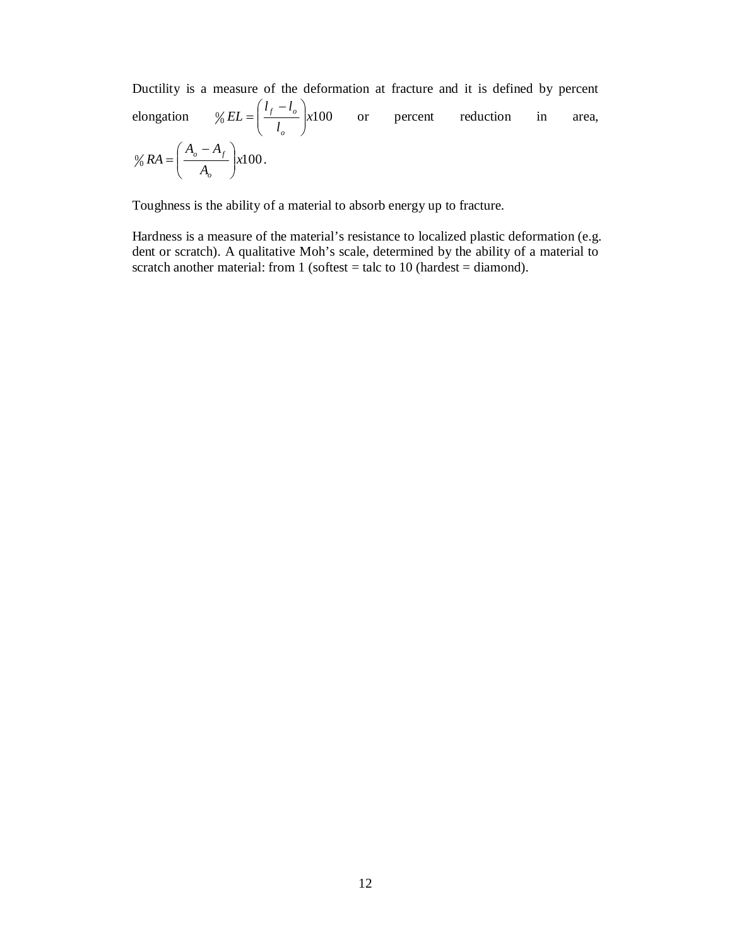Ductility is a measure of the deformation at fracture and it is defined by percent elongation  $\% EL = \left(\frac{f - \delta}{l_o}\right) \times 100$  $l_f - l$ *EL o*  $\left(\frac{f}{1}\right)^{l_o}$  $\bigg)$  $\mathcal{L}$  $\overline{\phantom{a}}$  $\setminus$  $\left( l_{f}-\right)$  or percent reduction in area,  $\% RA = \left( \frac{\partial}{A_o} \right) \times 100$  $A_{\rho} - A$ *RA o*  $\left[\frac{\partial}{A}\right]^{I \cdot I_f}$  $\bigg)$  $\mathcal{L}$  $\overline{\phantom{a}}$  $\setminus$  $=\left(\frac{A_o-A_f}{\mu}\right) x 100$ .

Toughness is the ability of a material to absorb energy up to fracture.

Hardness is a measure of the material's resistance to localized plastic deformation (e.g. dent or scratch). A qualitative Moh's scale, determined by the ability of a material to scratch another material: from 1 (softest = talc to 10 (hardest = diamond).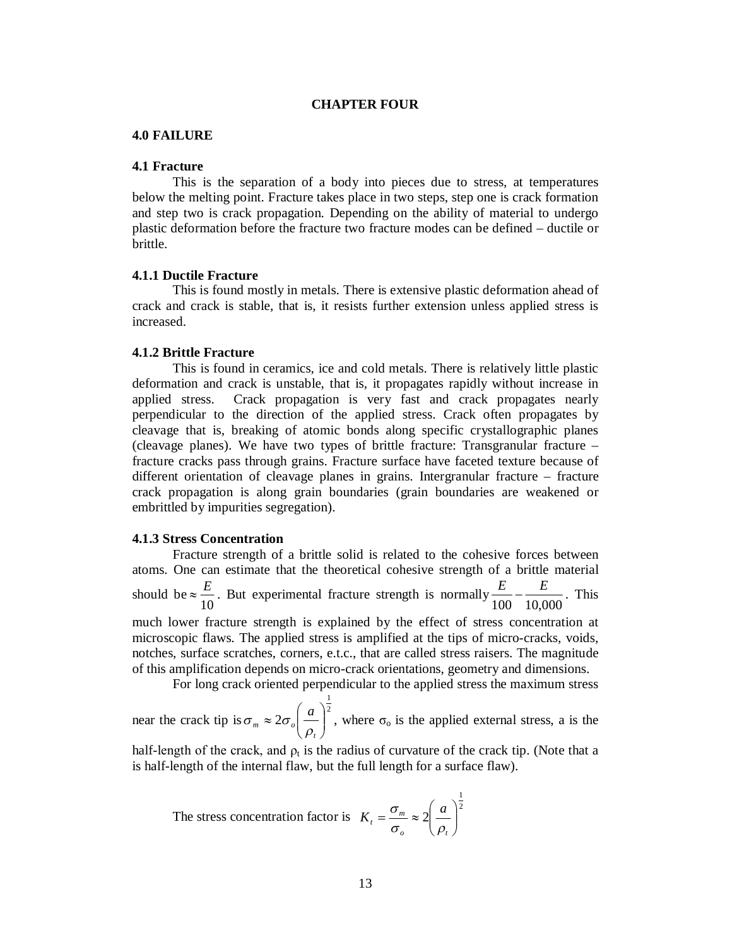# **CHAPTER FOUR**

# **4.0 FAILURE**

# **4.1 Fracture**

This is the separation of a body into pieces due to stress, at temperatures below the melting point. Fracture takes place in two steps, step one is crack formation and step two is crack propagation. Depending on the ability of material to undergo plastic deformation before the fracture two fracture modes can be defined – ductile or brittle.

# **4.1.1 Ductile Fracture**

This is found mostly in metals. There is extensive plastic deformation ahead of crack and crack is stable, that is, it resists further extension unless applied stress is increased.

# **4.1.2 Brittle Fracture**

This is found in ceramics, ice and cold metals. There is relatively little plastic deformation and crack is unstable, that is, it propagates rapidly without increase in applied stress. Crack propagation is very fast and crack propagates nearly perpendicular to the direction of the applied stress. Crack often propagates by cleavage that is, breaking of atomic bonds along specific crystallographic planes (cleavage planes). We have two types of brittle fracture: Transgranular fracture – fracture cracks pass through grains. Fracture surface have faceted texture because of different orientation of cleavage planes in grains. Intergranular fracture – fracture crack propagation is along grain boundaries (grain boundaries are weakened or embrittled by impurities segregation).

# **4.1.3 Stress Concentration**

Fracture strength of a brittle solid is related to the cohesive forces between atoms. One can estimate that the theoretical cohesive strength of a brittle material should be 10  $\approx \frac{E}{4.0}$ . But experimental fracture strength is normally 100 10,000  $\frac{E}{\sigma s} - \frac{E}{10,000}$ . This much lower fracture strength is explained by the effect of stress concentration at microscopic flaws. The applied stress is amplified at the tips of micro-cracks, voids, notches, surface scratches, corners, e.t.c., that are called stress raisers. The magnitude of this amplification depends on micro-crack orientations, geometry and dimensions. For long crack oriented perpendicular to the applied stress the maximum stress

1

near the crack tip is  $\sigma_m \approx 2\sigma_o \left(\frac{a}{m}\right)^2$  $2\sigma_o\left(\frac{a}{\rho}\right)$ J  $\mathcal{L}$  $\overline{\phantom{a}}$  $\overline{\mathcal{L}}$  $\approx 2\sigma_o$ *t*  $_m \sim$  20<sub>0</sub> *a*  $\rho$  $\sigma_m \approx 2\sigma_o |\frac{d}{dt}|$ , where  $\sigma_o$  is the applied external stress, a is the

half-length of the crack, and  $\rho_t$  is the radius of curvature of the crack tip. (Note that a is half-length of the internal flaw, but the full length for a surface flaw).

The stress concentration factor is 
$$
K_t = \frac{\sigma_m}{\sigma_o} \approx 2 \left(\frac{a}{\rho_t}\right)^{\frac{1}{2}}
$$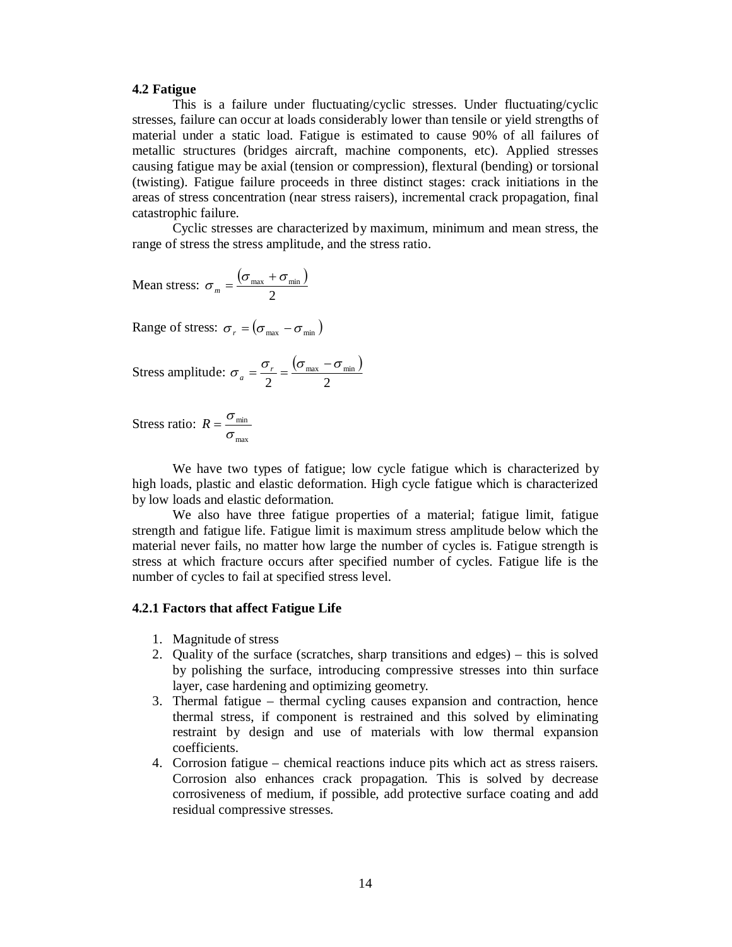## **4.2 Fatigue**

This is a failure under fluctuating/cyclic stresses. Under fluctuating/cyclic stresses, failure can occur at loads considerably lower than tensile or yield strengths of material under a static load. Fatigue is estimated to cause 90% of all failures of metallic structures (bridges aircraft, machine components, etc). Applied stresses causing fatigue may be axial (tension or compression), flextural (bending) or torsional (twisting). Fatigue failure proceeds in three distinct stages: crack initiations in the areas of stress concentration (near stress raisers), incremental crack propagation, final catastrophic failure.

Cyclic stresses are characterized by maximum, minimum and mean stress, the range of stress the stress amplitude, and the stress ratio.

Mean stress: 
$$
\sigma_m = \frac{(\sigma_{\text{max}} + \sigma_{\text{min}})}{2}
$$

Range of stress:  $\sigma_r = (\sigma_{\text{max}} - \sigma_{\text{min}})$ 

Stress amplitude: 
$$
\sigma_a = \frac{\sigma_r}{2} = \frac{(\sigma_{\text{max}} - \sigma_{\text{min}})}{2}
$$

Stress ratio: max min σ  $R=\frac{\sigma}{\sigma}$ 

We have two types of fatigue; low cycle fatigue which is characterized by high loads, plastic and elastic deformation. High cycle fatigue which is characterized by low loads and elastic deformation.

We also have three fatigue properties of a material; fatigue limit, fatigue strength and fatigue life. Fatigue limit is maximum stress amplitude below which the material never fails, no matter how large the number of cycles is. Fatigue strength is stress at which fracture occurs after specified number of cycles. Fatigue life is the number of cycles to fail at specified stress level.

# **4.2.1 Factors that affect Fatigue Life**

- 1. Magnitude of stress
- 2. Quality of the surface (scratches, sharp transitions and edges) this is solved by polishing the surface, introducing compressive stresses into thin surface layer, case hardening and optimizing geometry.
- 3. Thermal fatigue thermal cycling causes expansion and contraction, hence thermal stress, if component is restrained and this solved by eliminating restraint by design and use of materials with low thermal expansion coefficients.
- 4. Corrosion fatigue chemical reactions induce pits which act as stress raisers. Corrosion also enhances crack propagation. This is solved by decrease corrosiveness of medium, if possible, add protective surface coating and add residual compressive stresses.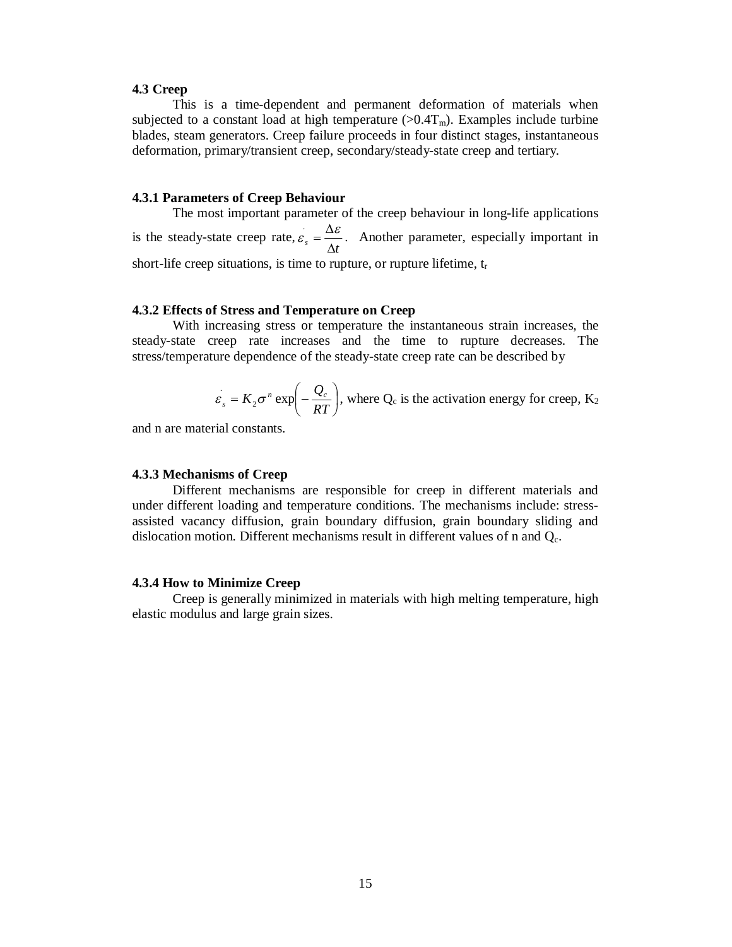# **4.3 Creep**

This is a time-dependent and permanent deformation of materials when subjected to a constant load at high temperature  $(>0.4T<sub>m</sub>)$ . Examples include turbine blades, steam generators. Creep failure proceeds in four distinct stages, instantaneous deformation, primary/transient creep, secondary/steady-state creep and tertiary.

#### **4.3.1 Parameters of Creep Behaviour**

The most important parameter of the creep behaviour in long-life applications is the steady-state creep rate,  $\int f(x) dx$  $\varepsilon_{s} = \frac{\Delta \varepsilon}{4}$  $\sum_{s} = \frac{\Delta \varepsilon}{\Delta s}$ . Another parameter, especially important in short-life creep situations, is time to rupture, or rupture lifetime,  $t_r$ 

# **4.3.2 Effects of Stress and Temperature on Creep**

With increasing stress or temperature the instantaneous strain increases, the steady-state creep rate increases and the time to rupture decreases. The stress/temperature dependence of the steady-state creep rate can be described by

$$
\varepsilon_s = K_2 \sigma^n \exp\left(-\frac{Q_c}{RT}\right)
$$
, where Q<sub>c</sub> is the activation energy for creep, K<sub>2</sub>

and n are material constants.

# **4.3.3 Mechanisms of Creep**

Different mechanisms are responsible for creep in different materials and under different loading and temperature conditions. The mechanisms include: stressassisted vacancy diffusion, grain boundary diffusion, grain boundary sliding and dislocation motion. Different mechanisms result in different values of n and  $Q_c$ .

#### **4.3.4 How to Minimize Creep**

Creep is generally minimized in materials with high melting temperature, high elastic modulus and large grain sizes.